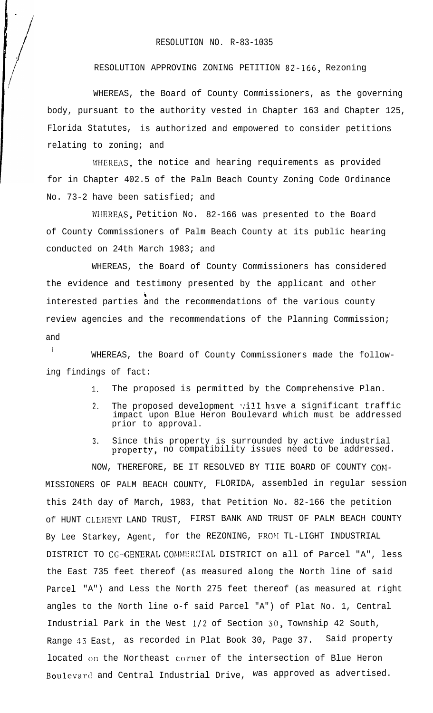## RESOLUTION NO. R-83-1035

## RESOLUTION APPROVING ZONING PETITION 82-166, Rezoning

WHEREAS, the Board of County Commissioners, as the governing body, pursuant to the authority vested in Chapter 163 and Chapter 125, Florida Statutes, is authorized and empowered to consider petitions relating to zoning; and

WHEREAS, the notice and hearing requirements as provided for in Chapter 402.5 of the Palm Beach County Zoning Code Ordinance No. 73-2 have been satisfied; and

WHEREAS, Petition No. 82-166 was presented to the Board of County Commissioners of Palm Beach County at its public hearing conducted on 24th March 1983; and

WHEREAS, the Board of County Commissioners has considered the evidence and testimony presented by the applicant and other interested parties and the recommendations of the various county review agencies and the recommendations of the Planning Commission; and

**<sup>i</sup>** WHEREAS, the Board of County Commissioners made the following findings of fact:

- 1. The proposed is permitted by the Comprehensive Plan.
- 2. The proposed development vill have a significant traffic impact upon Blue Heron Boulevard which must be addressed prior to approval.
- 3. Since this property is surrounded by active industrial property, no compatibility issues need to be addressed.

NOW, THEREFORE, BE IT RESOLVED BY TIIE BOARD OF COUNTY COM-MISSIONERS OF PALM BEACH COUNTY, FLORIDA, assembled in regular session this 24th day of March, 1983, that Petition No. 82-166 the petition of HUNT CLEMENT LAND TRUST, FIRST BANK AND TRUST OF PALM BEACH COUNTY By Lee Starkey, Agent, for the REZONING, FROM TL-LIGHT INDUSTRIAL DISTRICT TO CG-GENERAL COMMERCIAL DISTRICT on all of Parcel "A", less the East 735 feet thereof (as measured along the North line of said Parcel "A") and Less the North 275 feet thereof (as measured at right angles to the North line o-f said Parcel "A") of Plat No. 1, Central Industrial Park in the West l/2 of Section 30, Township 42 South, Range 43 East, as recorded in Plat Book 30, Page 37. Said property located on the Northeast corner of the intersection of Blue Heron Boulevard and Central Industrial Drive, was approved as advertised.